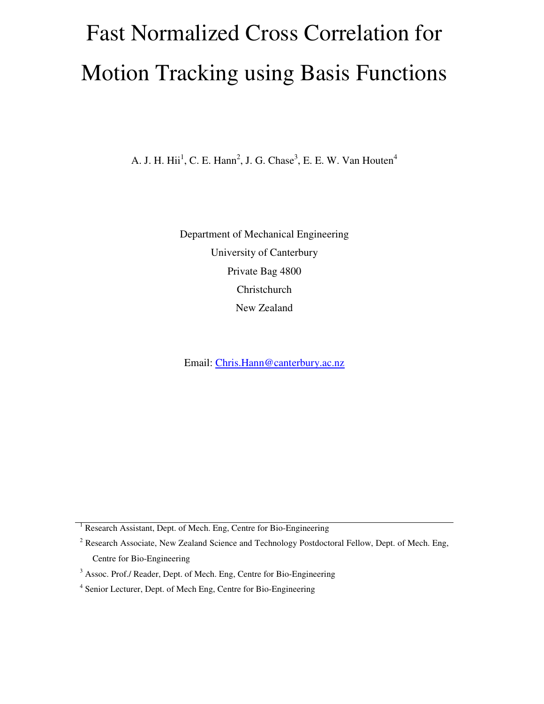# Fast Normalized Cross Correlation for Motion Tracking using Basis Functions

A. J. H. Hii<sup>1</sup>, C. E. Hann<sup>2</sup>, J. G. Chase<sup>3</sup>, E. E. W. Van Houten<sup>4</sup>

Department of Mechanical Engineering University of Canterbury Private Bag 4800 Christchurch New Zealand

Email: Chris.Hann@canterbury.ac.nz

<sup>1</sup> Research Assistant, Dept. of Mech. Eng, Centre for Bio-Engineering

<sup>2</sup> Research Associate, New Zealand Science and Technology Postdoctoral Fellow, Dept. of Mech. Eng, Centre for Bio-Engineering

<sup>&</sup>lt;sup>3</sup> Assoc. Prof./ Reader, Dept. of Mech. Eng, Centre for Bio-Engineering

<sup>&</sup>lt;sup>4</sup> Senior Lecturer, Dept. of Mech Eng, Centre for Bio-Engineering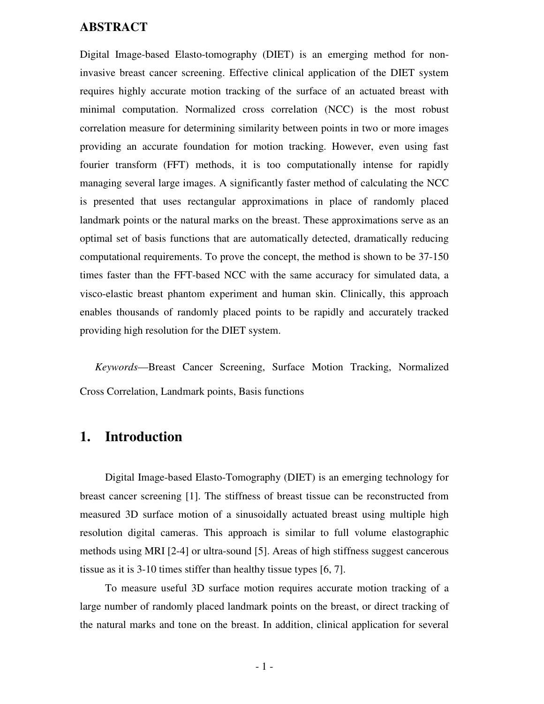#### **ABSTRACT**

Digital Image-based Elasto-tomography (DIET) is an emerging method for noninvasive breast cancer screening. Effective clinical application of the DIET system requires highly accurate motion tracking of the surface of an actuated breast with minimal computation. Normalized cross correlation (NCC) is the most robust correlation measure for determining similarity between points in two or more images providing an accurate foundation for motion tracking. However, even using fast fourier transform (FFT) methods, it is too computationally intense for rapidly managing several large images. A significantly faster method of calculating the NCC is presented that uses rectangular approximations in place of randomly placed landmark points or the natural marks on the breast. These approximations serve as an optimal set of basis functions that are automatically detected, dramatically reducing computational requirements. To prove the concept, the method is shown to be 37-150 times faster than the FFT-based NCC with the same accuracy for simulated data, a visco-elastic breast phantom experiment and human skin. Clinically, this approach enables thousands of randomly placed points to be rapidly and accurately tracked providing high resolution for the DIET system.

*Keywords*—Breast Cancer Screening, Surface Motion Tracking, Normalized Cross Correlation, Landmark points, Basis functions

# **1. Introduction**

Digital Image-based Elasto-Tomography (DIET) is an emerging technology for breast cancer screening [1]. The stiffness of breast tissue can be reconstructed from measured 3D surface motion of a sinusoidally actuated breast using multiple high resolution digital cameras. This approach is similar to full volume elastographic methods using MRI [2-4] or ultra-sound [5]. Areas of high stiffness suggest cancerous tissue as it is 3-10 times stiffer than healthy tissue types [6, 7].

To measure useful 3D surface motion requires accurate motion tracking of a large number of randomly placed landmark points on the breast, or direct tracking of the natural marks and tone on the breast. In addition, clinical application for several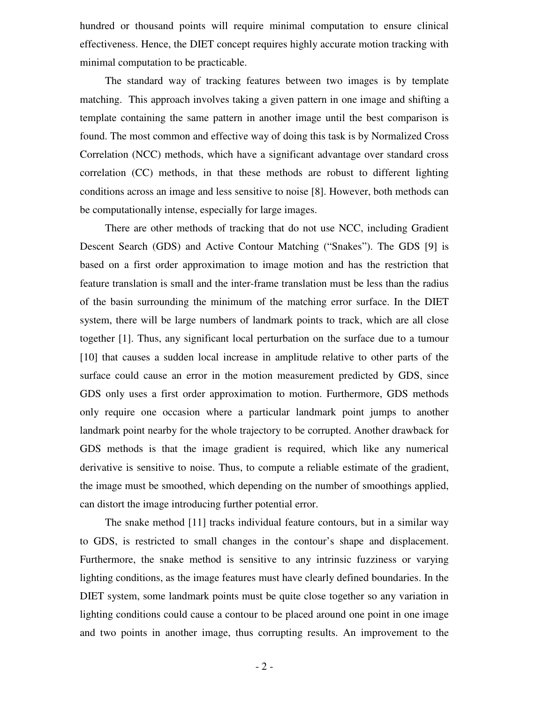hundred or thousand points will require minimal computation to ensure clinical effectiveness. Hence, the DIET concept requires highly accurate motion tracking with minimal computation to be practicable.

The standard way of tracking features between two images is by template matching. This approach involves taking a given pattern in one image and shifting a template containing the same pattern in another image until the best comparison is found. The most common and effective way of doing this task is by Normalized Cross Correlation (NCC) methods, which have a significant advantage over standard cross correlation (CC) methods, in that these methods are robust to different lighting conditions across an image and less sensitive to noise [8]. However, both methods can be computationally intense, especially for large images.

There are other methods of tracking that do not use NCC, including Gradient Descent Search (GDS) and Active Contour Matching ("Snakes"). The GDS [9] is based on a first order approximation to image motion and has the restriction that feature translation is small and the inter-frame translation must be less than the radius of the basin surrounding the minimum of the matching error surface. In the DIET system, there will be large numbers of landmark points to track, which are all close together [1]. Thus, any significant local perturbation on the surface due to a tumour [10] that causes a sudden local increase in amplitude relative to other parts of the surface could cause an error in the motion measurement predicted by GDS, since GDS only uses a first order approximation to motion. Furthermore, GDS methods only require one occasion where a particular landmark point jumps to another landmark point nearby for the whole trajectory to be corrupted. Another drawback for GDS methods is that the image gradient is required, which like any numerical derivative is sensitive to noise. Thus, to compute a reliable estimate of the gradient, the image must be smoothed, which depending on the number of smoothings applied, can distort the image introducing further potential error.

The snake method [11] tracks individual feature contours, but in a similar way to GDS, is restricted to small changes in the contour's shape and displacement. Furthermore, the snake method is sensitive to any intrinsic fuzziness or varying lighting conditions, as the image features must have clearly defined boundaries. In the DIET system, some landmark points must be quite close together so any variation in lighting conditions could cause a contour to be placed around one point in one image and two points in another image, thus corrupting results. An improvement to the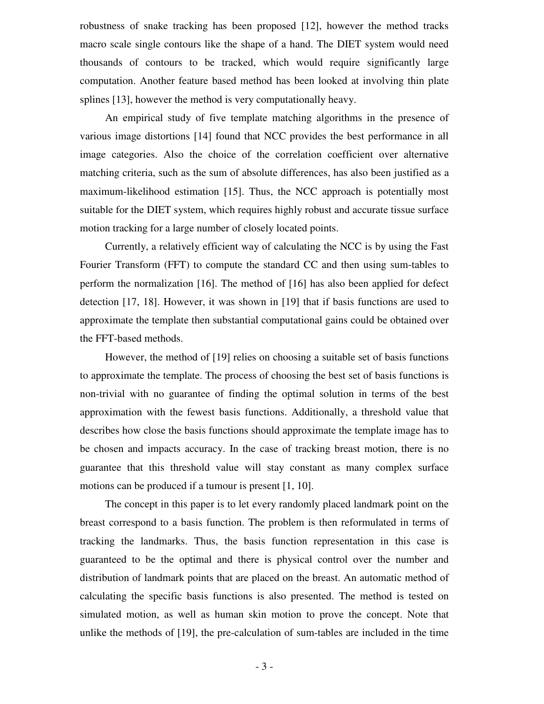robustness of snake tracking has been proposed [12], however the method tracks macro scale single contours like the shape of a hand. The DIET system would need thousands of contours to be tracked, which would require significantly large computation. Another feature based method has been looked at involving thin plate splines [13], however the method is very computationally heavy.

An empirical study of five template matching algorithms in the presence of various image distortions [14] found that NCC provides the best performance in all image categories. Also the choice of the correlation coefficient over alternative matching criteria, such as the sum of absolute differences, has also been justified as a maximum-likelihood estimation [15]. Thus, the NCC approach is potentially most suitable for the DIET system, which requires highly robust and accurate tissue surface motion tracking for a large number of closely located points.

Currently, a relatively efficient way of calculating the NCC is by using the Fast Fourier Transform (FFT) to compute the standard CC and then using sum-tables to perform the normalization [16]. The method of [16] has also been applied for defect detection [17, 18]. However, it was shown in [19] that if basis functions are used to approximate the template then substantial computational gains could be obtained over the FFT-based methods.

However, the method of [19] relies on choosing a suitable set of basis functions to approximate the template. The process of choosing the best set of basis functions is non-trivial with no guarantee of finding the optimal solution in terms of the best approximation with the fewest basis functions. Additionally, a threshold value that describes how close the basis functions should approximate the template image has to be chosen and impacts accuracy. In the case of tracking breast motion, there is no guarantee that this threshold value will stay constant as many complex surface motions can be produced if a tumour is present [1, 10].

The concept in this paper is to let every randomly placed landmark point on the breast correspond to a basis function. The problem is then reformulated in terms of tracking the landmarks. Thus, the basis function representation in this case is guaranteed to be the optimal and there is physical control over the number and distribution of landmark points that are placed on the breast. An automatic method of calculating the specific basis functions is also presented. The method is tested on simulated motion, as well as human skin motion to prove the concept. Note that unlike the methods of [19], the pre-calculation of sum-tables are included in the time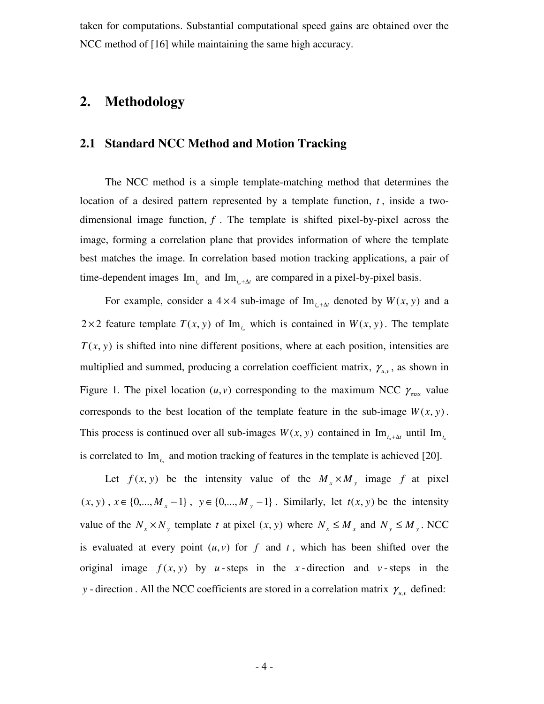taken for computations. Substantial computational speed gains are obtained over the NCC method of [16] while maintaining the same high accuracy.

# **2. Methodology**

## **2.1 Standard NCC Method and Motion Tracking**

The NCC method is a simple template-matching method that determines the location of a desired pattern represented by a template function,  $t$ , inside a twodimensional image function,  $f$ . The template is shifted pixel-by-pixel across the image, forming a correlation plane that provides information of where the template best matches the image. In correlation based motion tracking applications, a pair of time-dependent images  $\text{Im}_{t_o}$  and  $\text{Im}_{t_o+\Delta t}$  are compared in a pixel-by-pixel basis.

For example, consider a  $4 \times 4$  sub-image of  $\text{Im}_{t_{o}+\Delta t}$  denoted by  $W(x, y)$  and a 2 × 2 feature template  $T(x, y)$  of Im<sub>t<sub>1</sub></sub> which is contained in  $W(x, y)$ . The template  $T(x, y)$  is shifted into nine different positions, where at each position, intensities are multiplied and summed, producing a correlation coefficient matrix,  $\gamma_{u,v}$ , as shown in Figure 1. The pixel location  $(u, v)$  corresponding to the maximum NCC  $\gamma_{\text{max}}$  value corresponds to the best location of the template feature in the sub-image  $W(x, y)$ . This process is continued over all sub-images  $W(x, y)$  contained in  $\text{Im}_{t_{o}+\Delta t}$  until  $\text{Im}_{t_{o}}$ is correlated to  $\text{Im}_{t_o}$  and motion tracking of features in the template is achieved [20].

Let  $f(x, y)$  be the intensity value of the  $M_x \times M_y$  image f at pixel  $(x, y)$ ,  $x \in \{0, ..., M_x - 1\}$ ,  $y \in \{0, ..., M_y - 1\}$ . Similarly, let  $t(x, y)$  be the intensity value of the  $N_x \times N_y$  template *t* at pixel  $(x, y)$  where  $N_x \le M_x$  and  $N_y \le M_y$ . NCC is evaluated at every point  $(u, v)$  for  $f$  and  $t$ , which has been shifted over the original image  $f(x, y)$  by *u*-steps in the *x*-direction and *v*-steps in the *y* - direction. All the NCC coefficients are stored in a correlation matrix  $\gamma_{u,v}$  defined: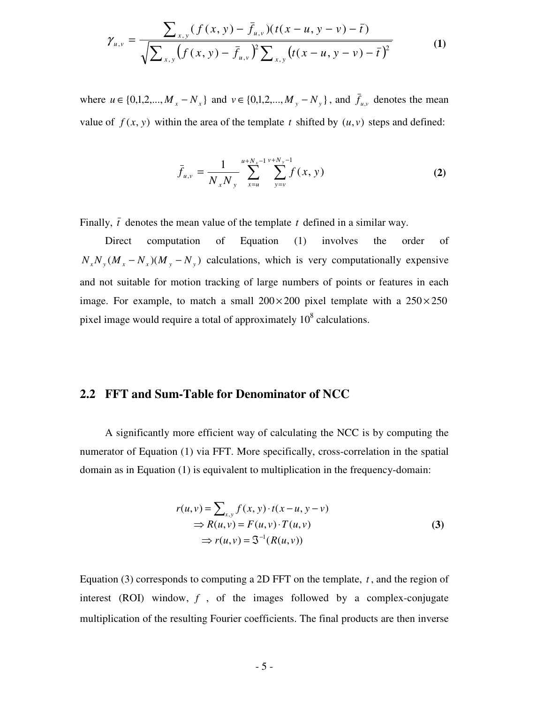$$
\gamma_{u,v} = \frac{\sum_{x,y} (f(x,y) - \bar{f}_{u,v})(t(x-u, y-v) - \bar{t})}{\sqrt{\sum_{x,y} (f(x,y) - \bar{f}_{u,v})^2 \sum_{x,y} (t(x-u, y-v) - \bar{t})^2}}
$$
(1)

where  $u \in \{0,1,2,..., M_x - N_x\}$  and  $v \in \{0,1,2,..., M_y - N_y\}$ , and  $f_{u,v}$  denotes the mean value of  $f(x, y)$  within the area of the template *t* shifted by  $(u, v)$  steps and defined:

$$
\bar{f}_{u,v} = \frac{1}{N_x N_y} \sum_{x=u}^{u+N_x-1} \sum_{y=v}^{v+N_y-1} f(x, y)
$$
 (2)

Finally,  $\bar{t}$  denotes the mean value of the template  $t$  defined in a similar way.

Direct computation of Equation (1) involves the order of  $N_x N_y (M_x - N_x) (M_y - N_y)$  calculations, which is very computationally expensive and not suitable for motion tracking of large numbers of points or features in each image. For example, to match a small  $200 \times 200$  pixel template with a  $250 \times 250$ pixel image would require a total of approximately  $10^8$  calculations.

#### **2.2 FFT and Sum-Table for Denominator of NCC**

A significantly more efficient way of calculating the NCC is by computing the numerator of Equation (1) via FFT. More specifically, cross-correlation in the spatial domain as in Equation (1) is equivalent to multiplication in the frequency-domain:

$$
r(u, v) = \sum_{x,y} f(x, y) \cdot t(x - u, y - v)
$$
  
\n
$$
\Rightarrow R(u, v) = F(u, v) \cdot T(u, v)
$$
  
\n
$$
\Rightarrow r(u, v) = \mathfrak{S}^{-1}(R(u, v))
$$
\n(3)

Equation  $(3)$  corresponds to computing a 2D FFT on the template, *t*, and the region of interest (ROI) window, *f* , of the images followed by a complex-conjugate multiplication of the resulting Fourier coefficients. The final products are then inverse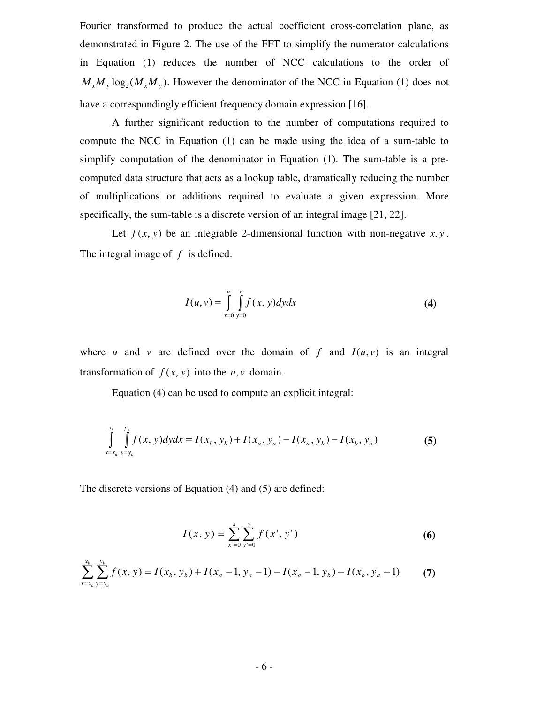Fourier transformed to produce the actual coefficient cross-correlation plane, as demonstrated in Figure 2. The use of the FFT to simplify the numerator calculations in Equation (1) reduces the number of NCC calculations to the order of  $M_x M_y \log_2(M_x M_y)$ . However the denominator of the NCC in Equation (1) does not have a correspondingly efficient frequency domain expression [16].

A further significant reduction to the number of computations required to compute the NCC in Equation (1) can be made using the idea of a sum-table to simplify computation of the denominator in Equation (1). The sum-table is a precomputed data structure that acts as a lookup table, dramatically reducing the number of multiplications or additions required to evaluate a given expression. More specifically, the sum-table is a discrete version of an integral image [21, 22].

Let  $f(x, y)$  be an integrable 2-dimensional function with non-negative  $x, y$ . The integral image of *f* is defined:

$$
I(u, v) = \int_{x=0}^{u} \int_{y=0}^{v} f(x, y) dy dx
$$
 (4)

where *u* and *v* are defined over the domain of  $f$  and  $I(u, v)$  is an integral transformation of  $f(x, y)$  into the  $u, v$  domain.

Equation (4) can be used to compute an explicit integral:

$$
\int_{x=x_a}^{x_b} \int_{y=y_a}^{y_b} f(x, y) dy dx = I(x_b, y_b) + I(x_a, y_a) - I(x_a, y_b) - I(x_b, y_a)
$$
\n(5)

The discrete versions of Equation (4) and (5) are defined:

$$
I(x, y) = \sum_{x'=0}^{x} \sum_{y'=0}^{y} f(x', y')
$$
 (6)

$$
\sum_{x=x_a}^{x_b} \sum_{y=y_a}^{y_b} f(x, y) = I(x_b, y_b) + I(x_a - 1, y_a - 1) - I(x_a - 1, y_b) - I(x_b, y_a - 1)
$$
 (7)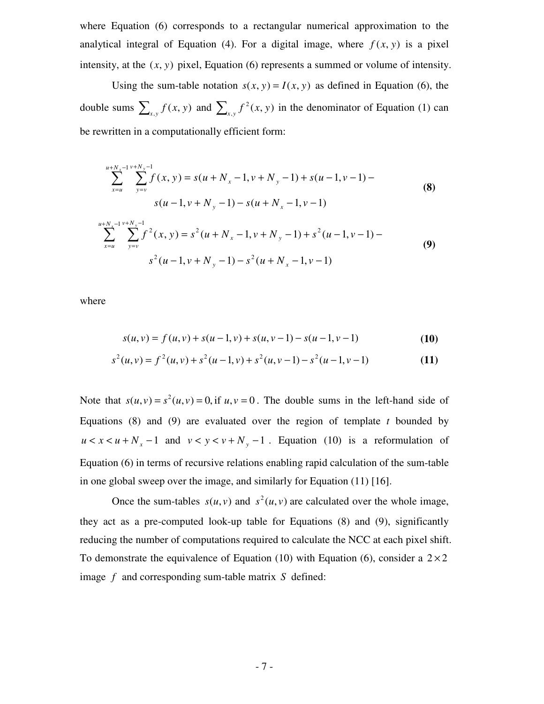where Equation (6) corresponds to a rectangular numerical approximation to the analytical integral of Equation (4). For a digital image, where  $f(x, y)$  is a pixel intensity, at the (*x*, *y*) pixel, Equation (6) represents a summed or volume of intensity.

Using the sum-table notation  $s(x, y) = I(x, y)$  as defined in Equation (6), the double sums  $\sum_{x,y} f(x, y)$  and  $\sum_{x,y} f^2(x, y)$  $2(x, y)$  in the denominator of Equation (1) can be rewritten in a computationally efficient form:

$$
\sum_{x=u}^{u+N_x-1} \sum_{y=v}^{v+N_y-1} f(x, y) = s(u+N_x-1, v+N_y-1) + s(u-1, v-1) - s(u-1, v-1)
$$
\n
$$
s(u-1, v+N_y-1) - s(u+N_x-1, v-1)
$$
\n
$$
\sum_{x=u}^{u+N_x-1} \sum_{y=v}^{v+N_y-1} f^2(x, y) = s^2(u+N_x-1, v+N_y-1) + s^2(u-1, v-1) - s^2(u-1, v+N_y-1) - s^2(u+N_x-1, v-1)
$$
\n(9)

where

$$
s(u, v) = f(u, v) + s(u - 1, v) + s(u, v - 1) - s(u - 1, v - 1)
$$
\n(10)

$$
s^{2}(u,v) = f^{2}(u,v) + s^{2}(u-1,v) + s^{2}(u,v-1) - s^{2}(u-1,v-1)
$$
\n(11)

Note that  $s(u, v) = s^2(u, v) = 0$ , if  $u, v = 0$ . The double sums in the left-hand side of Equations (8) and (9) are evaluated over the region of template *t* bounded by  $u < x < u + N_x - 1$  and  $v < y < v + N_y - 1$ . Equation (10) is a reformulation of Equation (6) in terms of recursive relations enabling rapid calculation of the sum-table in one global sweep over the image, and similarly for Equation (11) [16].

Once the sum-tables  $s(u, v)$  and  $s^2(u, v)$  are calculated over the whole image, they act as a pre-computed look-up table for Equations (8) and (9), significantly reducing the number of computations required to calculate the NCC at each pixel shift. To demonstrate the equivalence of Equation (10) with Equation (6), consider a  $2 \times 2$ image *f* and corresponding sum-table matrix *S* defined: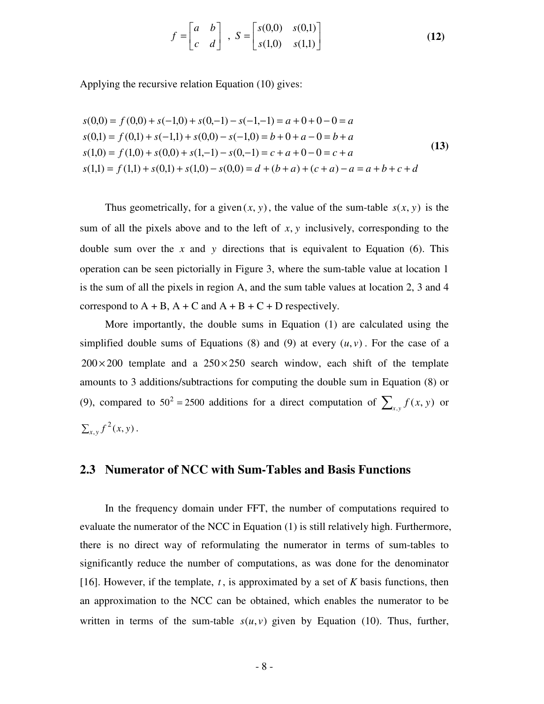$$
f = \begin{bmatrix} a & b \\ c & d \end{bmatrix}, S = \begin{bmatrix} s(0,0) & s(0,1) \\ s(1,0) & s(1,1) \end{bmatrix}
$$
(12)

Applying the recursive relation Equation (10) gives:

$$
s(0,0) = f(0,0) + s(-1,0) + s(0,-1) - s(-1,-1) = a + 0 + 0 - 0 = a
$$
  
\n
$$
s(0,1) = f(0,1) + s(-1,1) + s(0,0) - s(-1,0) = b + 0 + a - 0 = b + a
$$
  
\n
$$
s(1,0) = f(1,0) + s(0,0) + s(1,-1) - s(0,-1) = c + a + 0 - 0 = c + a
$$
  
\n
$$
s(1,1) = f(1,1) + s(0,1) + s(1,0) - s(0,0) = d + (b + a) + (c + a) - a = a + b + c + d
$$
\n(13)

Thus geometrically, for a given  $(x, y)$ , the value of the sum-table  $s(x, y)$  is the sum of all the pixels above and to the left of *x*, *y* inclusively, corresponding to the double sum over the  $x$  and  $y$  directions that is equivalent to Equation (6). This operation can be seen pictorially in Figure 3, where the sum-table value at location 1 is the sum of all the pixels in region A, and the sum table values at location 2, 3 and 4 correspond to  $A + B$ ,  $A + C$  and  $A + B + C + D$  respectively.

More importantly, the double sums in Equation (1) are calculated using the simplified double sums of Equations (8) and (9) at every  $(u, v)$ . For the case of a  $200 \times 200$  template and a  $250 \times 250$  search window, each shift of the template amounts to 3 additions/subtractions for computing the double sum in Equation (8) or (9), compared to  $50^2 = 2500$  additions for a direct computation of  $\sum_{x,y} f(x, y)$  or  $\sum_{x,y} f^2(x, y)$ .

#### **2.3 Numerator of NCC with Sum-Tables and Basis Functions**

In the frequency domain under FFT, the number of computations required to evaluate the numerator of the NCC in Equation (1) is still relatively high. Furthermore, there is no direct way of reformulating the numerator in terms of sum-tables to significantly reduce the number of computations, as was done for the denominator [16]. However, if the template,  $t$ , is approximated by a set of  $K$  basis functions, then an approximation to the NCC can be obtained, which enables the numerator to be written in terms of the sum-table  $s(u, v)$  given by Equation (10). Thus, further,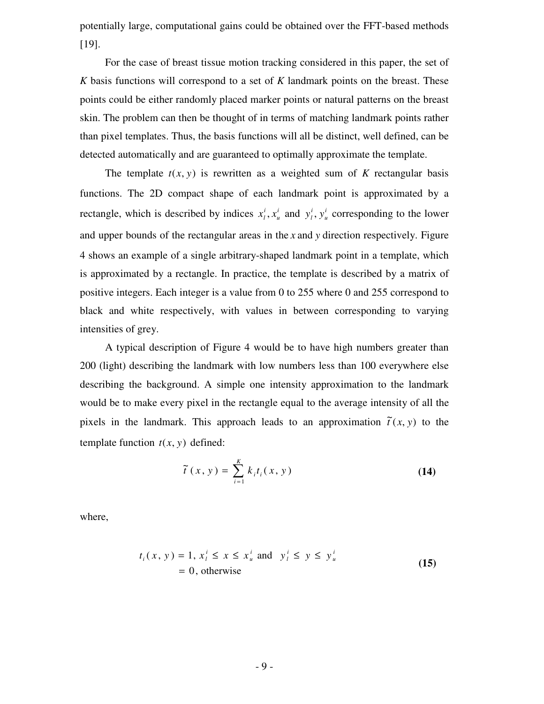potentially large, computational gains could be obtained over the FFT-based methods [19].

For the case of breast tissue motion tracking considered in this paper, the set of *K* basis functions will correspond to a set of *K* landmark points on the breast. These points could be either randomly placed marker points or natural patterns on the breast skin. The problem can then be thought of in terms of matching landmark points rather than pixel templates. Thus, the basis functions will all be distinct, well defined, can be detected automatically and are guaranteed to optimally approximate the template.

The template  $t(x, y)$  is rewritten as a weighted sum of K rectangular basis functions. The 2D compact shape of each landmark point is approximated by a rectangle, which is described by indices  $x_i^i$ ,  $x_i^i$ *u i*  $x_l^i, x_u^i$  and  $y_l^i, y_u^i$ *u i*  $y_i^i$ ,  $y_u^i$  corresponding to the lower and upper bounds of the rectangular areas in the *x* and *y* direction respectively. Figure 4 shows an example of a single arbitrary-shaped landmark point in a template, which is approximated by a rectangle. In practice, the template is described by a matrix of positive integers. Each integer is a value from 0 to 255 where 0 and 255 correspond to black and white respectively, with values in between corresponding to varying intensities of grey.

A typical description of Figure 4 would be to have high numbers greater than 200 (light) describing the landmark with low numbers less than 100 everywhere else describing the background. A simple one intensity approximation to the landmark would be to make every pixel in the rectangle equal to the average intensity of all the pixels in the landmark. This approach leads to an approximation  $\tilde{t}(x, y)$  to the template function  $t(x, y)$  defined:

$$
\tilde{t}(x, y) = \sum_{i=1}^{K} k_i t_i(x, y)
$$
\n(14)

where,

$$
t_i(x, y) = 1, x_i^i \le x \le x_u^i \text{ and } y_i^i \le y \le y_u^i
$$
  
= 0, otherwise (15)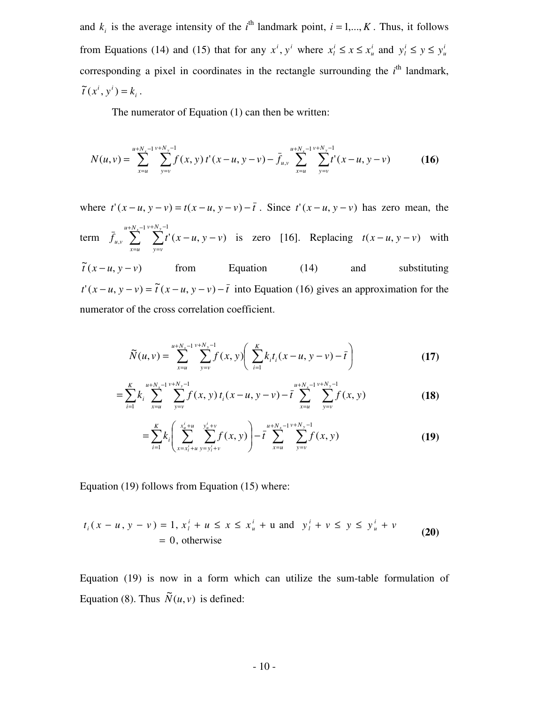and  $k_i$  is the average intensity of the  $i^{\text{th}}$  landmark point,  $i = 1,..., K$ . Thus, it follows from Equations (14) and (15) that for any  $x^i$ ,  $y^i$  where  $x_i^i \le x \le x_i^i$ *u i*  $x_i^i \leq x \leq x_u^i$  and  $y_i^i \leq y \leq y_u^i$ *u i*  $y_l^i \leq y \leq y$ corresponding a pixel in coordinates in the rectangle surrounding the  $i<sup>th</sup>$  landmark, *i*  $\widetilde{t}(x^i, y^i) = k_i$ .

The numerator of Equation (1) can then be written:

$$
N(u,v) = \sum_{x=u}^{u+N_x-1} \sum_{y=v}^{v+N_y-1} f(x,y) t'(x-u, y-v) - \bar{f}_{u,v} \sum_{x=u}^{u+N_x-1} \sum_{y=v}^{v+N_y-1} t'(x-u, y-v) \tag{16}
$$

where  $t'(x - u, y - v) = t(x - u, y - v) - \overline{t}$ . Since  $t'(x - u, y - v)$  has zero mean, the term  $\bar{f}_{u,v} \sum_{\nu}^{u+N_{x}-1} \sum_{\nu+N_{y}-1}^{v+N_{y}-1}$ =  $+N_{v}-$ =  $-u, y 1 v + N_y - 1$  $\sum_{y} \sum_{y} t^{y}(x-u, y-v)$  $u + N_x - 1 v + N_y$ *x u v N y v*  $f_{u,v}$   $\sum \sum t'(x-u, y-v)$  is zero [16]. Replacing  $t(x-u, y-v)$  with  $\tilde{t}$   $(x - u, y - v)$  from Equation (14) and substituting  $t'(x-u, y-v) = \tilde{t}(x-u, y-v) - \bar{t}$  into Equation (16) gives an approximation for the numerator of the cross correlation coefficient.

$$
\widetilde{N}(u,v) = \sum_{x=u}^{u+N_x-1} \sum_{y=v}^{v+N_y-1} f(x,y) \left( \sum_{i=1}^{K} k_i t_i (x-u, y-v) - \bar{t} \right)
$$
(17)

$$
= \sum_{i=1}^{K} k_i \sum_{x=u}^{u+N_x-1} \sum_{y=v}^{v+N_y-1} f(x, y) t_i(x-u, y-v) - \bar{t} \sum_{x=u}^{u+N_x-1} \sum_{y=v}^{v+N_y-1} f(x, y)
$$
(18)

$$
= \sum_{i=1}^{K} k_i \left( \sum_{x=x_i^j+u}^{x_u^j+u} \sum_{y=y_i^j+v}^{y_u^j+v} f(x,y) \right) - \bar{t} \sum_{x=u}^{u+N_x-1} \sum_{y=v}^{v+N_y-1} f(x,y)
$$
(19)

Equation (19) follows from Equation (15) where:

$$
t_i(x - u, y - v) = 1, x_i^i + u \le x \le x_u^i + u \text{ and } y_i^i + v \le y \le y_u^i + v
$$
  
= 0, otherwise (20)

Equation (19) is now in a form which can utilize the sum-table formulation of Equation (8). Thus  $\tilde{N}(u, v)$  is defined: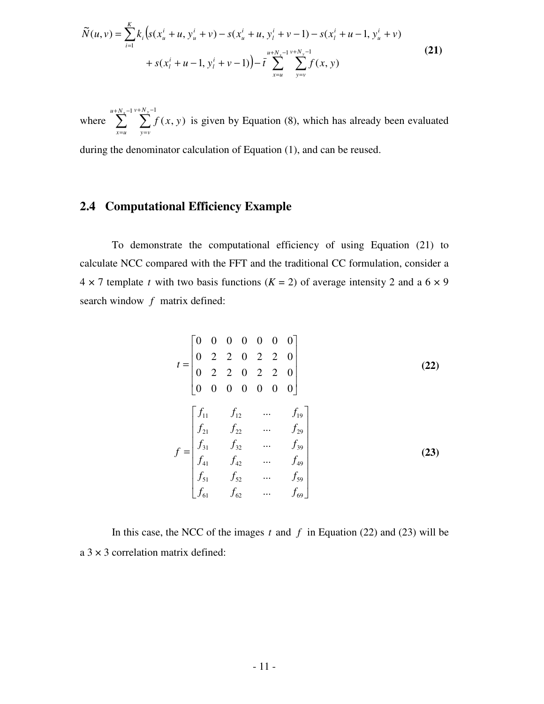$$
\widetilde{N}(u,v) = \sum_{i=1}^{K} k_i \Big( s(x_u^i + u, y_u^i + v) - s(x_u^i + u, y_l^i + v - 1) - s(x_l^i + u - 1, y_u^i + v) \n+ s(x_l^i + u - 1, y_l^i + v - 1) \Big) - \overline{t} \sum_{x=u}^{u+N_x-1} \sum_{y=v}^{v+N_y-1} f(x, y)
$$
\n(21)

where  $\sum_{\nu+N}^{u+N_x-1} \sum_{\nu+N_y}^{v+N_y}$ =  $+N_{v}-$ =  $1 v + N_y - 1$  $(x, y)$  $u + N_x - 1 v + N_y$  $x = u$ *v N y v*  $f(x, y)$  is given by Equation (8), which has already been evaluated

during the denominator calculation of Equation (1), and can be reused.

## **2.4 Computational Efficiency Example**

To demonstrate the computational efficiency of using Equation (21) to calculate NCC compared with the FFT and the traditional CC formulation, consider a  $4 \times 7$  template *t* with two basis functions ( $K = 2$ ) of average intensity 2 and a 6  $\times$  9 search window *f* matrix defined:

$$
t = \begin{bmatrix} 0 & 0 & 0 & 0 & 0 & 0 \\ 0 & 2 & 2 & 0 & 2 & 2 & 0 \\ 0 & 2 & 2 & 0 & 2 & 2 & 0 \\ 0 & 0 & 0 & 0 & 0 & 0 & 0 \end{bmatrix}
$$
(22)  

$$
f = \begin{bmatrix} f_{11} & f_{12} & \cdots & f_{19} \\ f_{21} & f_{22} & \cdots & f_{29} \\ f_{31} & f_{32} & \cdots & f_{39} \\ f_{41} & f_{42} & \cdots & f_{49} \\ f_{51} & f_{52} & \cdots & f_{59} \\ f_{61} & f_{62} & \cdots & f_{69} \end{bmatrix}
$$
(23)

In this case, the NCC of the images  $t$  and  $f$  in Equation (22) and (23) will be  $a$  3  $\times$  3 correlation matrix defined: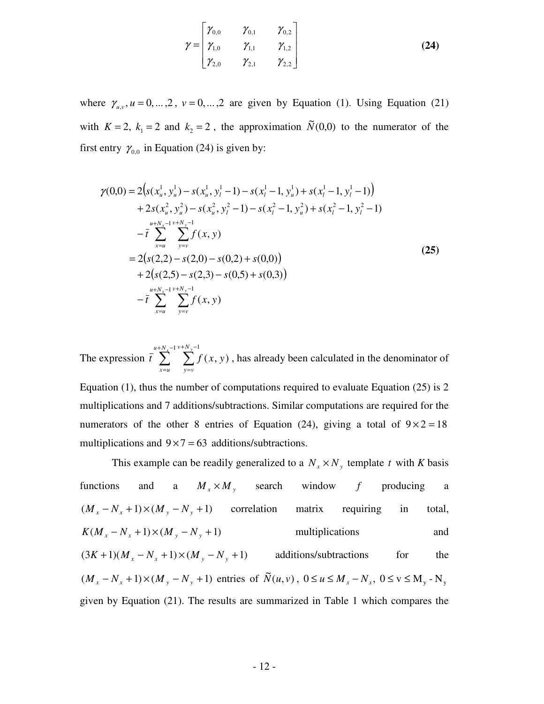$$
\gamma = \begin{bmatrix} \gamma_{0,0} & \gamma_{0,1} & \gamma_{0,2} \\ \gamma_{1,0} & \gamma_{1,1} & \gamma_{1,2} \\ \gamma_{2,0} & \gamma_{2,1} & \gamma_{2,2} \end{bmatrix}
$$
 (24)

where  $\gamma_{u,v}$ ,  $u = 0, \dots, 2$ ,  $v = 0, \dots, 2$  are given by Equation (1). Using Equation (21) with  $K = 2$ ,  $k_1 = 2$  and  $k_2 = 2$ , the approximation  $\tilde{N}(0,0)$  to the numerator of the first entry  $\gamma_{0,0}$  in Equation (24) is given by:

$$
\gamma(0,0) = 2(s(x_u^1, y_u^1) - s(x_u^1, y_l^1 - 1) - s(x_l^1 - 1, y_u^1) + s(x_l^1 - 1, y_l^1 - 1)) \n+ 2s(x_u^2, y_u^2) - s(x_u^2, y_l^2 - 1) - s(x_l^2 - 1, y_u^2) + s(x_l^2 - 1, y_l^2 - 1) \n- \bar{t} \sum_{x=u}^{u+N_x-1} \sum_{y=v}^{v+N_y-1} f(x, y) \n= 2(s(2,2) - s(2,0) - s(0,2) + s(0,0)) \n+ 2(s(2,5) - s(2,3) - s(0,5) + s(0,3)) \n- \bar{t} \sum_{x=u}^{u+N_x-1} \sum_{y=v}^{v+N_y-1} f(x, y)
$$
\n(25)

The expression  $\bar{t} \sum_{i=1}^{u+N_x-1} \sum_{\nu+N_y}^{v+N_y-1}$ =  $+ N_{v} -$ =  $1 v + N_y - 1$  $(x, y)$  $u + N_x - 1 v + N_y$  $x = u$ *v N y v*  $\overline{t}$   $\sum f(x, y)$ , has already been calculated in the denominator of

Equation (1), thus the number of computations required to evaluate Equation (25) is 2 multiplications and 7 additions/subtractions. Similar computations are required for the numerators of the other 8 entries of Equation (24), giving a total of  $9 \times 2 = 18$ multiplications and  $9 \times 7 = 63$  additions/subtractions.

This example can be readily generalized to a  $N_x \times N_y$  template *t* with *K* basis functions and a  $M_x \times M_y$  search window f producing a  $(M_x - N_x + 1) \times (M_y - N_y + 1)$  correlation matrix requiring in total,  $K(M_r - N_r + 1) \times (M_v - N_v + 1)$  multiplications and  $(3K+1)(M_x - N_x + 1) \times (M_y - N_y + 1)$  additions/subtractions for the  $(M_x - N_x + 1) \times (M_y - N_y + 1)$  entries of  $\tilde{N}(u, v)$ ,  $0 \le u \le M_x - N_x$ ,  $0 \le v \le M_y - N_y$ given by Equation (21). The results are summarized in Table 1 which compares the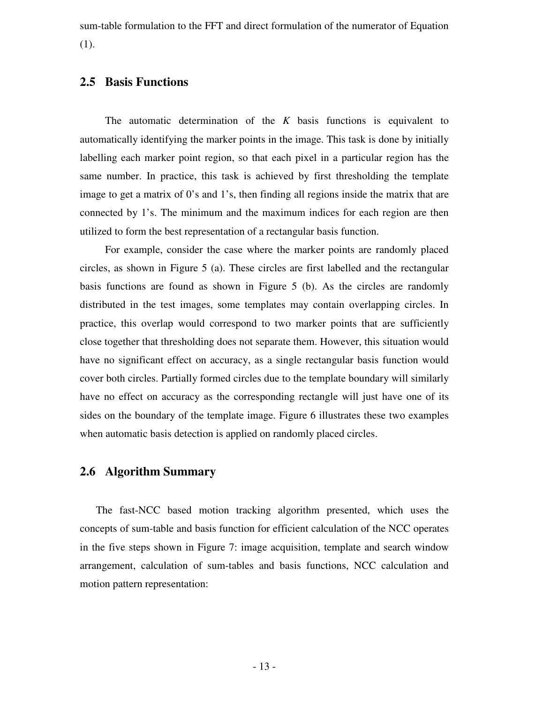sum-table formulation to the FFT and direct formulation of the numerator of Equation (1).

## **2.5 Basis Functions**

The automatic determination of the *K* basis functions is equivalent to automatically identifying the marker points in the image. This task is done by initially labelling each marker point region, so that each pixel in a particular region has the same number. In practice, this task is achieved by first thresholding the template image to get a matrix of 0's and 1's, then finding all regions inside the matrix that are connected by 1's. The minimum and the maximum indices for each region are then utilized to form the best representation of a rectangular basis function.

For example, consider the case where the marker points are randomly placed circles, as shown in Figure 5 (a). These circles are first labelled and the rectangular basis functions are found as shown in Figure 5 (b). As the circles are randomly distributed in the test images, some templates may contain overlapping circles. In practice, this overlap would correspond to two marker points that are sufficiently close together that thresholding does not separate them. However, this situation would have no significant effect on accuracy, as a single rectangular basis function would cover both circles. Partially formed circles due to the template boundary will similarly have no effect on accuracy as the corresponding rectangle will just have one of its sides on the boundary of the template image. Figure 6 illustrates these two examples when automatic basis detection is applied on randomly placed circles.

## **2.6 Algorithm Summary**

The fast-NCC based motion tracking algorithm presented, which uses the concepts of sum-table and basis function for efficient calculation of the NCC operates in the five steps shown in Figure 7: image acquisition, template and search window arrangement, calculation of sum-tables and basis functions, NCC calculation and motion pattern representation: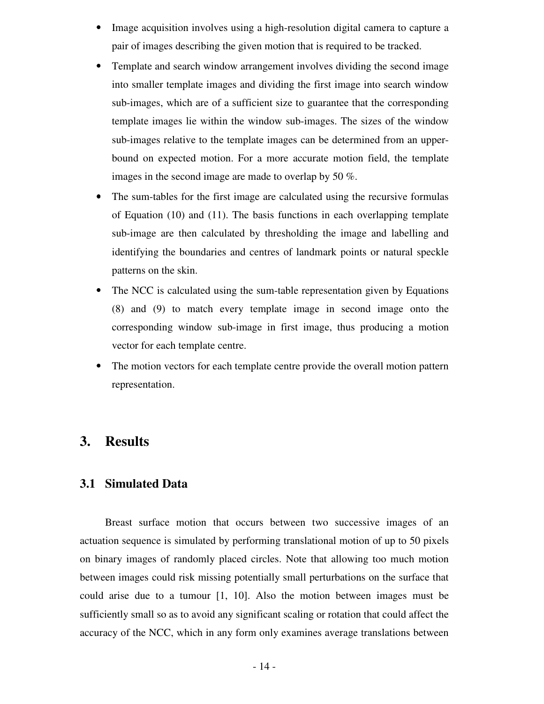- Image acquisition involves using a high-resolution digital camera to capture a pair of images describing the given motion that is required to be tracked.
- Template and search window arrangement involves dividing the second image into smaller template images and dividing the first image into search window sub-images, which are of a sufficient size to guarantee that the corresponding template images lie within the window sub-images. The sizes of the window sub-images relative to the template images can be determined from an upperbound on expected motion. For a more accurate motion field, the template images in the second image are made to overlap by 50 %.
- The sum-tables for the first image are calculated using the recursive formulas of Equation (10) and (11). The basis functions in each overlapping template sub-image are then calculated by thresholding the image and labelling and identifying the boundaries and centres of landmark points or natural speckle patterns on the skin.
- The NCC is calculated using the sum-table representation given by Equations (8) and (9) to match every template image in second image onto the corresponding window sub-image in first image, thus producing a motion vector for each template centre.
- The motion vectors for each template centre provide the overall motion pattern representation.

# **3. Results**

#### **3.1 Simulated Data**

Breast surface motion that occurs between two successive images of an actuation sequence is simulated by performing translational motion of up to 50 pixels on binary images of randomly placed circles. Note that allowing too much motion between images could risk missing potentially small perturbations on the surface that could arise due to a tumour [1, 10]. Also the motion between images must be sufficiently small so as to avoid any significant scaling or rotation that could affect the accuracy of the NCC, which in any form only examines average translations between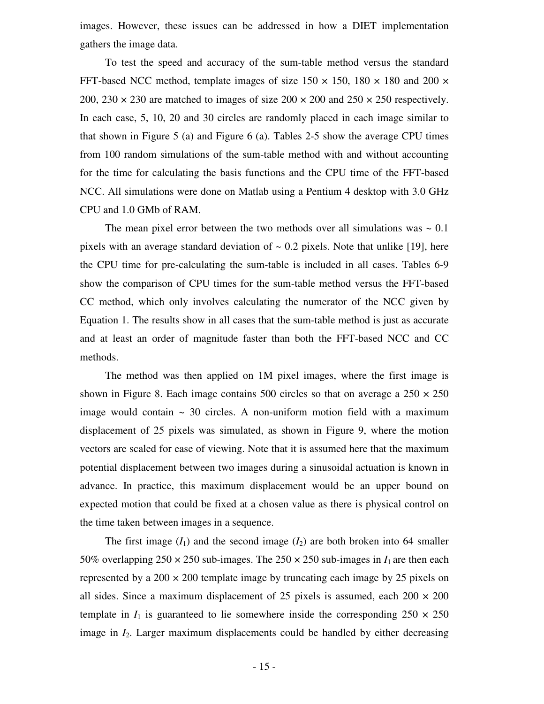images. However, these issues can be addressed in how a DIET implementation gathers the image data.

To test the speed and accuracy of the sum-table method versus the standard FFT-based NCC method, template images of size  $150 \times 150$ ,  $180 \times 180$  and  $200 \times$ 200, 230  $\times$  230 are matched to images of size 200  $\times$  200 and 250  $\times$  250 respectively. In each case, 5, 10, 20 and 30 circles are randomly placed in each image similar to that shown in Figure 5 (a) and Figure 6 (a). Tables 2-5 show the average CPU times from 100 random simulations of the sum-table method with and without accounting for the time for calculating the basis functions and the CPU time of the FFT-based NCC. All simulations were done on Matlab using a Pentium 4 desktop with 3.0 GHz CPU and 1.0 GMb of RAM.

The mean pixel error between the two methods over all simulations was  $\sim 0.1$ pixels with an average standard deviation of  $\sim 0.2$  pixels. Note that unlike [19], here the CPU time for pre-calculating the sum-table is included in all cases. Tables 6-9 show the comparison of CPU times for the sum-table method versus the FFT-based CC method, which only involves calculating the numerator of the NCC given by Equation 1. The results show in all cases that the sum-table method is just as accurate and at least an order of magnitude faster than both the FFT-based NCC and CC methods.

The method was then applied on 1M pixel images, where the first image is shown in Figure 8. Each image contains 500 circles so that on average a  $250 \times 250$ image would contain  $\sim$  30 circles. A non-uniform motion field with a maximum displacement of 25 pixels was simulated, as shown in Figure 9, where the motion vectors are scaled for ease of viewing. Note that it is assumed here that the maximum potential displacement between two images during a sinusoidal actuation is known in advance. In practice, this maximum displacement would be an upper bound on expected motion that could be fixed at a chosen value as there is physical control on the time taken between images in a sequence.

The first image  $(I_1)$  and the second image  $(I_2)$  are both broken into 64 smaller 50% overlapping  $250 \times 250$  sub-images. The  $250 \times 250$  sub-images in  $I_1$  are then each represented by a  $200 \times 200$  template image by truncating each image by 25 pixels on all sides. Since a maximum displacement of 25 pixels is assumed, each  $200 \times 200$ template in  $I_1$  is guaranteed to lie somewhere inside the corresponding  $250 \times 250$ image in *I*2. Larger maximum displacements could be handled by either decreasing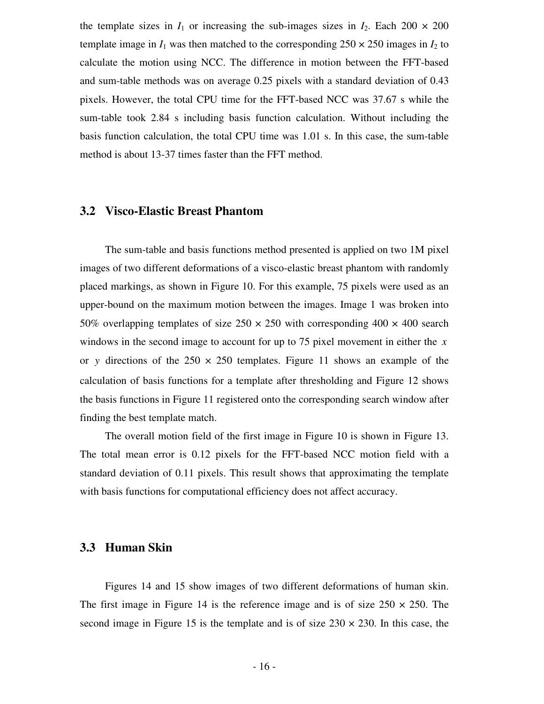the template sizes in  $I_1$  or increasing the sub-images sizes in  $I_2$ . Each 200  $\times$  200 template image in  $I_1$  was then matched to the corresponding  $250 \times 250$  images in  $I_2$  to calculate the motion using NCC. The difference in motion between the FFT-based and sum-table methods was on average 0.25 pixels with a standard deviation of 0.43 pixels. However, the total CPU time for the FFT-based NCC was 37.67 s while the sum-table took 2.84 s including basis function calculation. Without including the basis function calculation, the total CPU time was 1.01 s. In this case, the sum-table method is about 13-37 times faster than the FFT method.

## **3.2 Visco-Elastic Breast Phantom**

The sum-table and basis functions method presented is applied on two 1M pixel images of two different deformations of a visco-elastic breast phantom with randomly placed markings, as shown in Figure 10. For this example, 75 pixels were used as an upper-bound on the maximum motion between the images. Image 1 was broken into 50% overlapping templates of size  $250 \times 250$  with corresponding  $400 \times 400$  search windows in the second image to account for up to 75 pixel movement in either the *x* or y directions of the  $250 \times 250$  templates. Figure 11 shows an example of the calculation of basis functions for a template after thresholding and Figure 12 shows the basis functions in Figure 11 registered onto the corresponding search window after finding the best template match.

The overall motion field of the first image in Figure 10 is shown in Figure 13. The total mean error is 0.12 pixels for the FFT-based NCC motion field with a standard deviation of 0.11 pixels. This result shows that approximating the template with basis functions for computational efficiency does not affect accuracy.

#### **3.3 Human Skin**

Figures 14 and 15 show images of two different deformations of human skin. The first image in Figure 14 is the reference image and is of size  $250 \times 250$ . The second image in Figure 15 is the template and is of size  $230 \times 230$ . In this case, the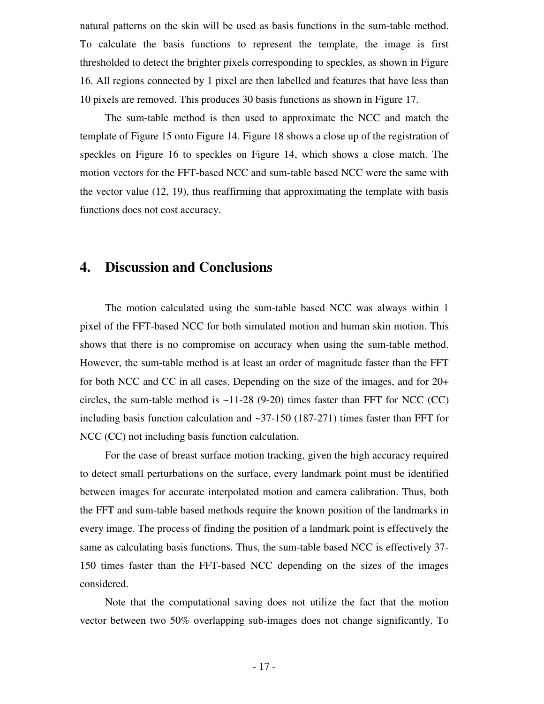natural patterns on the skin will be used as basis functions in the sum-table method. To calculate the basis functions to represent the template, the image is first thresholded to detect the brighter pixels corresponding to speckles, as shown in Figure 16. All regions connected by 1 pixel are then labelled and features that have less than 10 pixels are removed. This produces 30 basis functions as shown in Figure 17.

The sum-table method is then used to approximate the NCC and match the template of Figure 15 onto Figure 14. Figure 18 shows a close up of the registration of speckles on Figure 16 to speckles on Figure 14, which shows a close match. The motion vectors for the FFT-based NCC and sum-table based NCC were the same with the vector value (12, 19), thus reaffirming that approximating the template with basis functions does not cost accuracy.

# **4. Discussion and Conclusions**

The motion calculated using the sum-table based NCC was always within 1 pixel of the FFT-based NCC for both simulated motion and human skin motion. This shows that there is no compromise on accuracy when using the sum-table method. However, the sum-table method is at least an order of magnitude faster than the FFT for both NCC and CC in all cases. Depending on the size of the images, and for 20+ circles, the sum-table method is  $\sim$ 11-28 (9-20) times faster than FFT for NCC (CC) including basis function calculation and  $\sim$ 37-150 (187-271) times faster than FFT for NCC (CC) not including basis function calculation.

For the case of breast surface motion tracking, given the high accuracy required to detect small perturbations on the surface, every landmark point must be identified between images for accurate interpolated motion and camera calibration. Thus, both the FFT and sum-table based methods require the known position of the landmarks in every image. The process of finding the position of a landmark point is effectively the same as calculating basis functions. Thus, the sum-table based NCC is effectively 37- 150 times faster than the FFT-based NCC depending on the sizes of the images considered.

Note that the computational saving does not utilize the fact that the motion vector between two 50% overlapping sub-images does not change significantly. To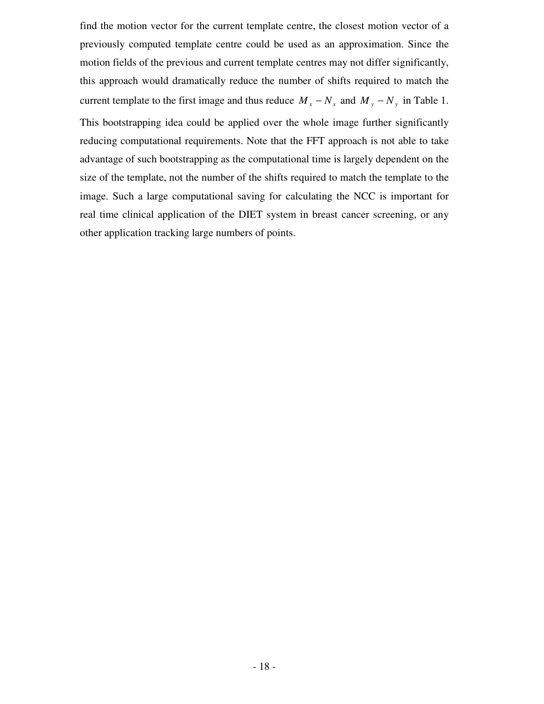find the motion vector for the current template centre, the closest motion vector of a previously computed template centre could be used as an approximation. Since the motion fields of the previous and current template centres may not differ significantly, this approach would dramatically reduce the number of shifts required to match the current template to the first image and thus reduce  $M_x - N_x$  and  $M_y - N_y$  in Table 1. This bootstrapping idea could be applied over the whole image further significantly reducing computational requirements. Note that the FFT approach is not able to take advantage of such bootstrapping as the computational time is largely dependent on the size of the template, not the number of the shifts required to match the template to the image. Such a large computational saving for calculating the NCC is important for real time clinical application of the DIET system in breast cancer screening, or any other application tracking large numbers of points.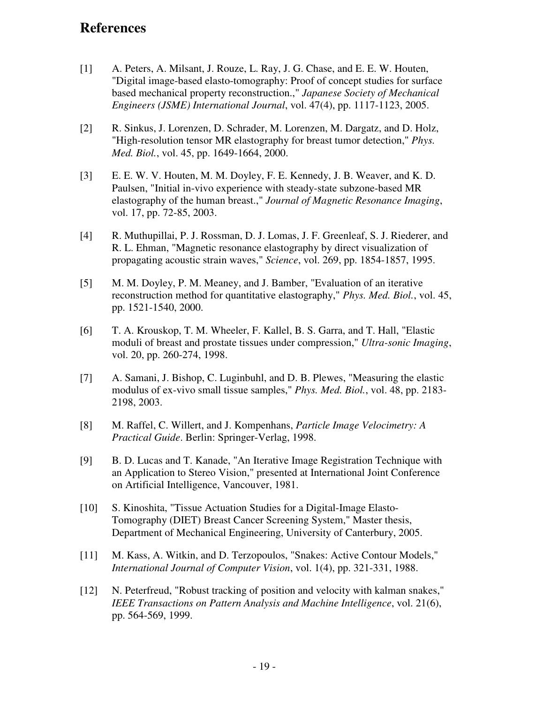# **References**

- [1] A. Peters, A. Milsant, J. Rouze, L. Ray, J. G. Chase, and E. E. W. Houten, "Digital image-based elasto-tomography: Proof of concept studies for surface based mechanical property reconstruction.," *Japanese Society of Mechanical Engineers (JSME) International Journal*, vol. 47(4), pp. 1117-1123, 2005.
- [2] R. Sinkus, J. Lorenzen, D. Schrader, M. Lorenzen, M. Dargatz, and D. Holz, "High-resolution tensor MR elastography for breast tumor detection," *Phys. Med. Biol.*, vol. 45, pp. 1649-1664, 2000.
- [3] E. E. W. V. Houten, M. M. Doyley, F. E. Kennedy, J. B. Weaver, and K. D. Paulsen, "Initial in-vivo experience with steady-state subzone-based MR elastography of the human breast.," *Journal of Magnetic Resonance Imaging*, vol. 17, pp. 72-85, 2003.
- [4] R. Muthupillai, P. J. Rossman, D. J. Lomas, J. F. Greenleaf, S. J. Riederer, and R. L. Ehman, "Magnetic resonance elastography by direct visualization of propagating acoustic strain waves," *Science*, vol. 269, pp. 1854-1857, 1995.
- [5] M. M. Doyley, P. M. Meaney, and J. Bamber, "Evaluation of an iterative reconstruction method for quantitative elastography," *Phys. Med. Biol.*, vol. 45, pp. 1521-1540, 2000.
- [6] T. A. Krouskop, T. M. Wheeler, F. Kallel, B. S. Garra, and T. Hall, "Elastic moduli of breast and prostate tissues under compression," *Ultra-sonic Imaging*, vol. 20, pp. 260-274, 1998.
- [7] A. Samani, J. Bishop, C. Luginbuhl, and D. B. Plewes, "Measuring the elastic modulus of ex-vivo small tissue samples," *Phys. Med. Biol.*, vol. 48, pp. 2183- 2198, 2003.
- [8] M. Raffel, C. Willert, and J. Kompenhans, *Particle Image Velocimetry: A Practical Guide*. Berlin: Springer-Verlag, 1998.
- [9] B. D. Lucas and T. Kanade, "An Iterative Image Registration Technique with an Application to Stereo Vision," presented at International Joint Conference on Artificial Intelligence, Vancouver, 1981.
- [10] S. Kinoshita, "Tissue Actuation Studies for a Digital-Image Elasto-Tomography (DIET) Breast Cancer Screening System," Master thesis, Department of Mechanical Engineering, University of Canterbury, 2005.
- [11] M. Kass, A. Witkin, and D. Terzopoulos, "Snakes: Active Contour Models," *International Journal of Computer Vision*, vol. 1(4), pp. 321-331, 1988.
- [12] N. Peterfreud, "Robust tracking of position and velocity with kalman snakes," *IEEE Transactions on Pattern Analysis and Machine Intelligence*, vol. 21(6), pp. 564-569, 1999.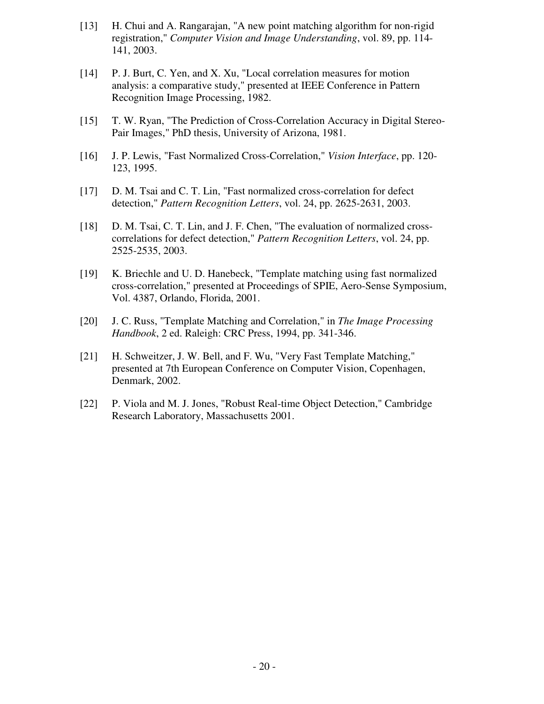- [13] H. Chui and A. Rangarajan, "A new point matching algorithm for non-rigid registration," *Computer Vision and Image Understanding*, vol. 89, pp. 114- 141, 2003.
- [14] P. J. Burt, C. Yen, and X. Xu, "Local correlation measures for motion analysis: a comparative study," presented at IEEE Conference in Pattern Recognition Image Processing, 1982.
- [15] T. W. Ryan, "The Prediction of Cross-Correlation Accuracy in Digital Stereo-Pair Images," PhD thesis, University of Arizona, 1981.
- [16] J. P. Lewis, "Fast Normalized Cross-Correlation," *Vision Interface*, pp. 120- 123, 1995.
- [17] D. M. Tsai and C. T. Lin, "Fast normalized cross-correlation for defect detection," *Pattern Recognition Letters*, vol. 24, pp. 2625-2631, 2003.
- [18] D. M. Tsai, C. T. Lin, and J. F. Chen, "The evaluation of normalized crosscorrelations for defect detection," *Pattern Recognition Letters*, vol. 24, pp. 2525-2535, 2003.
- [19] K. Briechle and U. D. Hanebeck, "Template matching using fast normalized cross-correlation," presented at Proceedings of SPIE, Aero-Sense Symposium, Vol. 4387, Orlando, Florida, 2001.
- [20] J. C. Russ, "Template Matching and Correlation," in *The Image Processing Handbook*, 2 ed. Raleigh: CRC Press, 1994, pp. 341-346.
- [21] H. Schweitzer, J. W. Bell, and F. Wu, "Very Fast Template Matching," presented at 7th European Conference on Computer Vision, Copenhagen, Denmark, 2002.
- [22] P. Viola and M. J. Jones, "Robust Real-time Object Detection," Cambridge Research Laboratory, Massachusetts 2001.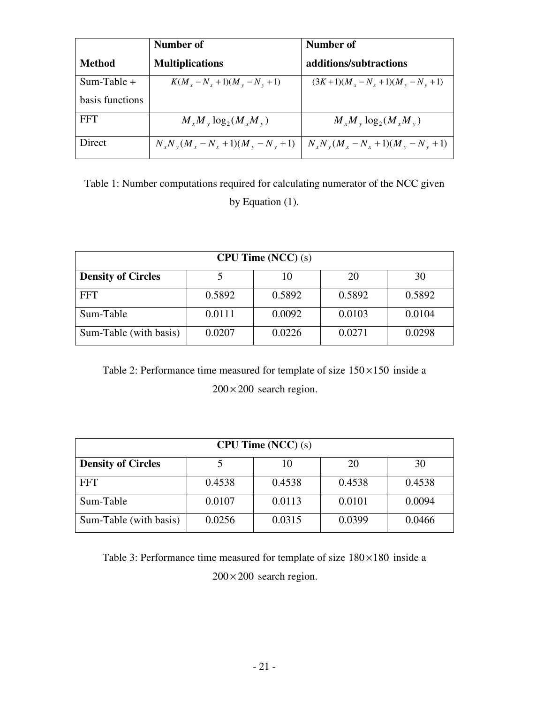|                 | Number of                                  | Number of                                  |
|-----------------|--------------------------------------------|--------------------------------------------|
| <b>Method</b>   | <b>Multiplications</b>                     | additions/subtractions                     |
| $Sum-Table +$   | $K(M_x - N_x + 1)(M_y - N_y + 1)$          | $(3K+1)(M_x-N_x+1)(M_y-N_y+1)$             |
| basis functions |                                            |                                            |
| <b>FFT</b>      | $M_{x}M_{y} \log_{2}(M_{x}M_{y})$          | $M_{x}M_{y} \log_{2}(M_{x}M_{y})$          |
| Direct          | $N_{x}N_{y}(M_{x}-N_{x}+1)(M_{y}-N_{y}+1)$ | $N_{x}N_{y}(M_{x}-N_{x}+1)(M_{y}-N_{y}+1)$ |

Table 1: Number computations required for calculating numerator of the NCC given by Equation (1).

| CPU Time (NCC) (s)        |        |        |        |        |  |
|---------------------------|--------|--------|--------|--------|--|
| <b>Density of Circles</b> |        | 10     | 20     | 30     |  |
| <b>FFT</b>                | 0.5892 | 0.5892 | 0.5892 | 0.5892 |  |
| Sum-Table                 | 0.0111 | 0.0092 | 0.0103 | 0.0104 |  |
| Sum-Table (with basis)    | 0.0207 | 0.0226 | 0.0271 | 0.0298 |  |

Table 2: Performance time measured for template of size  $150 \times 150$  inside a  $200 \times 200$  search region.

| CPU Time (NCC) (s)                          |        |        |        |        |  |  |
|---------------------------------------------|--------|--------|--------|--------|--|--|
| <b>Density of Circles</b><br>30<br>20<br>10 |        |        |        |        |  |  |
| <b>FFT</b>                                  | 0.4538 | 0.4538 | 0.4538 | 0.4538 |  |  |
| Sum-Table                                   | 0.0107 | 0.0113 | 0.0101 | 0.0094 |  |  |
| Sum-Table (with basis)                      | 0.0256 | 0.0315 | 0.0399 | 0.0466 |  |  |

Table 3: Performance time measured for template of size  $180 \times 180$  inside a  $200 \times 200$  search region.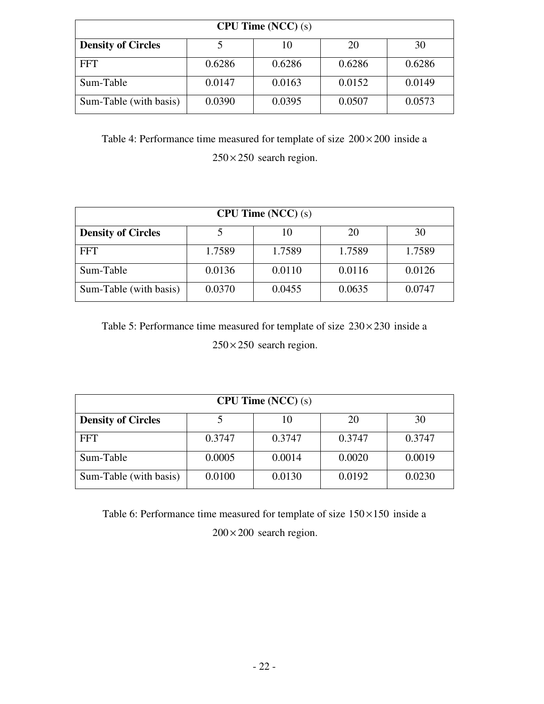| CPU Time (NCC) (s)                          |        |        |        |        |  |  |
|---------------------------------------------|--------|--------|--------|--------|--|--|
| <b>Density of Circles</b><br>30<br>10<br>20 |        |        |        |        |  |  |
| <b>FFT</b>                                  | 0.6286 | 0.6286 | 0.6286 | 0.6286 |  |  |
| Sum-Table                                   | 0.0147 | 0.0163 | 0.0152 | 0.0149 |  |  |
| Sum-Table (with basis)                      | 0.0390 | 0.0395 | 0.0507 | 0.0573 |  |  |

Table 4: Performance time measured for template of size  $200 \times 200$  inside a  $250 \times 250$  search region.

| CPU Time (NCC) (s)                          |        |        |        |        |  |  |
|---------------------------------------------|--------|--------|--------|--------|--|--|
| <b>Density of Circles</b><br>30<br>20<br>10 |        |        |        |        |  |  |
| FFT                                         | 1.7589 | 1.7589 | 1.7589 | 1.7589 |  |  |
| Sum-Table                                   | 0.0136 | 0.0110 | 0.0116 | 0.0126 |  |  |
| Sum-Table (with basis)                      | 0.0370 | 0.0455 | 0.0635 | 0.0747 |  |  |

Table 5: Performance time measured for template of size  $230 \times 230$  inside a  $250 \times 250$  search region.

| CPU Time (NCC) (s)                          |        |        |        |        |  |  |
|---------------------------------------------|--------|--------|--------|--------|--|--|
| 30<br><b>Density of Circles</b><br>20<br>10 |        |        |        |        |  |  |
| <b>FFT</b>                                  | 0.3747 | 0.3747 | 0.3747 | 0.3747 |  |  |
| Sum-Table                                   | 0.0005 | 0.0014 | 0.0020 | 0.0019 |  |  |
| Sum-Table (with basis)                      | 0.0100 | 0.0130 | 0.0192 | 0.0230 |  |  |

Table 6: Performance time measured for template of size  $150 \times 150$  inside a  $200 \times 200$  search region.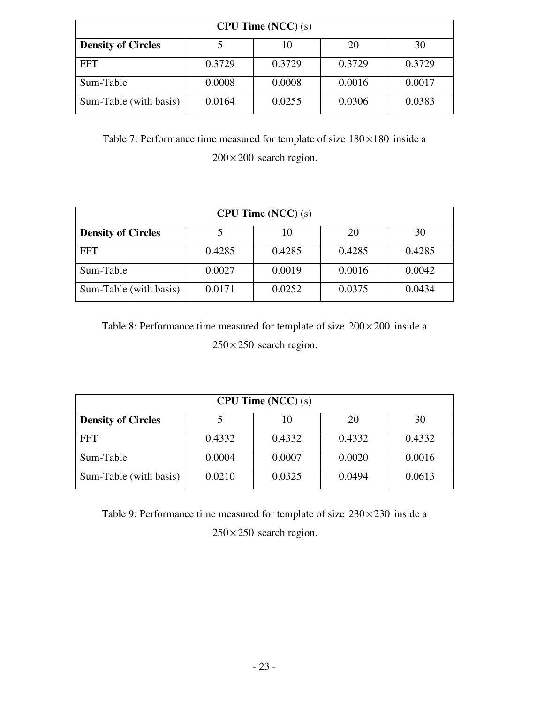| <b>CPU Time (NCC) (s)</b>                   |        |        |        |        |  |  |
|---------------------------------------------|--------|--------|--------|--------|--|--|
| <b>Density of Circles</b><br>30<br>10<br>20 |        |        |        |        |  |  |
| <b>FFT</b>                                  | 0.3729 | 0.3729 | 0.3729 | 0.3729 |  |  |
| Sum-Table                                   | 0.0008 | 0.0008 | 0.0016 | 0.0017 |  |  |
| Sum-Table (with basis)                      | 0.0164 | 0.0255 | 0.0306 | 0.0383 |  |  |

Table 7: Performance time measured for template of size  $180 \times 180$  inside a  $200 \times 200$  search region.

| CPU Time (NCC) (s)                          |        |        |        |        |  |  |
|---------------------------------------------|--------|--------|--------|--------|--|--|
| <b>Density of Circles</b><br>30<br>20<br>10 |        |        |        |        |  |  |
| <b>FFT</b>                                  | 0.4285 | 0.4285 | 0.4285 | 0.4285 |  |  |
| Sum-Table                                   | 0.0027 | 0.0019 | 0.0016 | 0.0042 |  |  |
| Sum-Table (with basis)                      | 0.0171 | 0.0252 | 0.0375 | 0.0434 |  |  |

Table 8: Performance time measured for template of size  $200 \times 200$  inside a  $250 \times 250$  search region.

| CPU Time (NCC) (s)                          |        |        |        |        |  |  |
|---------------------------------------------|--------|--------|--------|--------|--|--|
| 30<br><b>Density of Circles</b><br>20<br>10 |        |        |        |        |  |  |
| <b>FFT</b>                                  | 0.4332 | 0.4332 | 0.4332 | 0.4332 |  |  |
| Sum-Table                                   | 0.0004 | 0.0007 | 0.0020 | 0.0016 |  |  |
| Sum-Table (with basis)                      | 0.0210 | 0.0325 | 0.0494 | 0.0613 |  |  |

Table 9: Performance time measured for template of size  $230 \times 230$  inside a  $250 \times 250$  search region.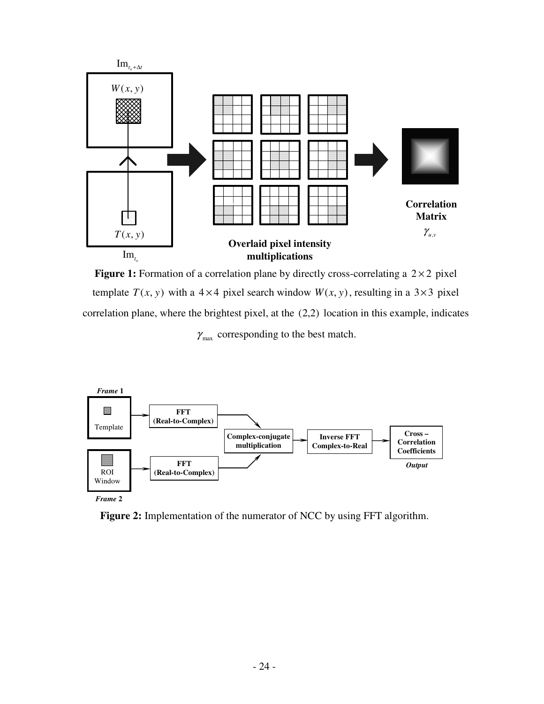

**Figure 1:** Formation of a correlation plane by directly cross-correlating a  $2 \times 2$  pixel template  $T(x, y)$  with a 4 × 4 pixel search window  $W(x, y)$ , resulting in a 3 × 3 pixel correlation plane, where the brightest pixel, at the (2,2) location in this example, indicates  $\gamma_{\text{max}}$  corresponding to the best match.



**Figure 2:** Implementation of the numerator of NCC by using FFT algorithm.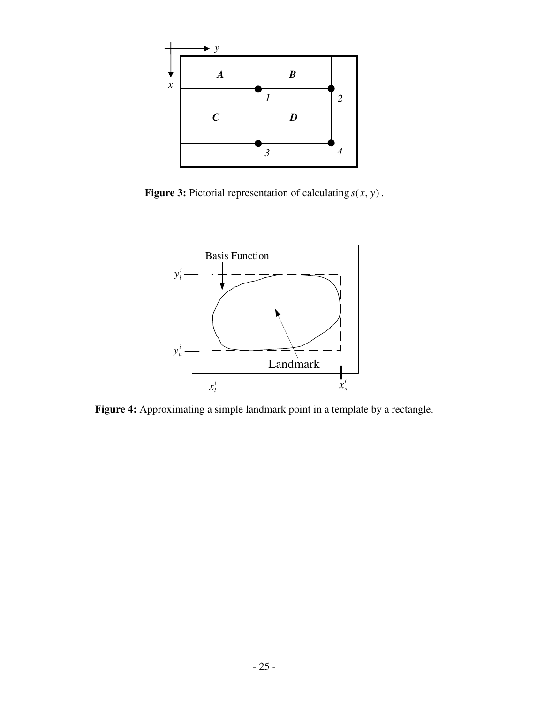

**Figure 3:** Pictorial representation of calculating  $s(x, y)$ .



**Figure 4:** Approximating a simple landmark point in a template by a rectangle.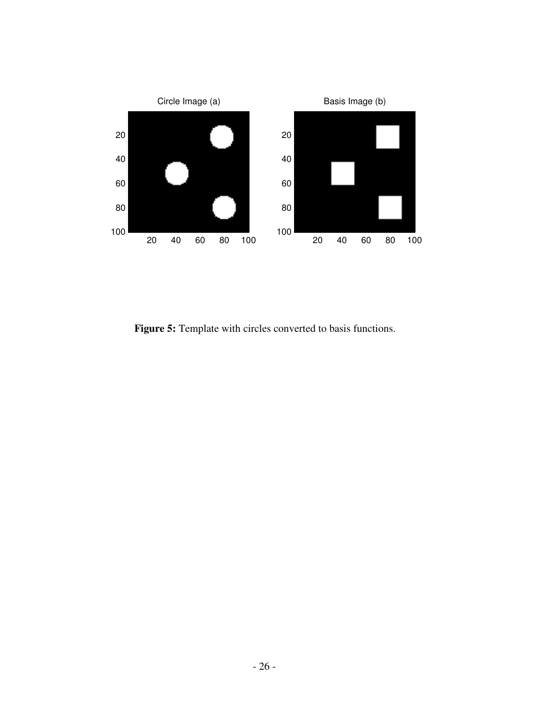

**Figure 5:** Template with circles converted to basis functions.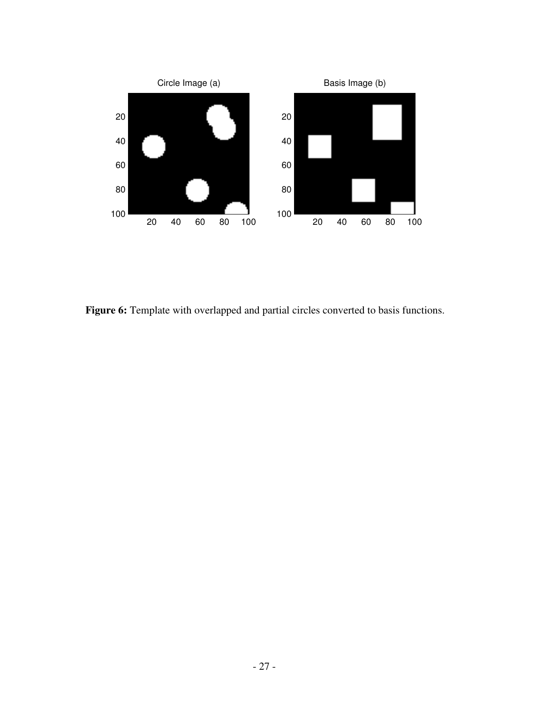

**Figure 6:** Template with overlapped and partial circles converted to basis functions.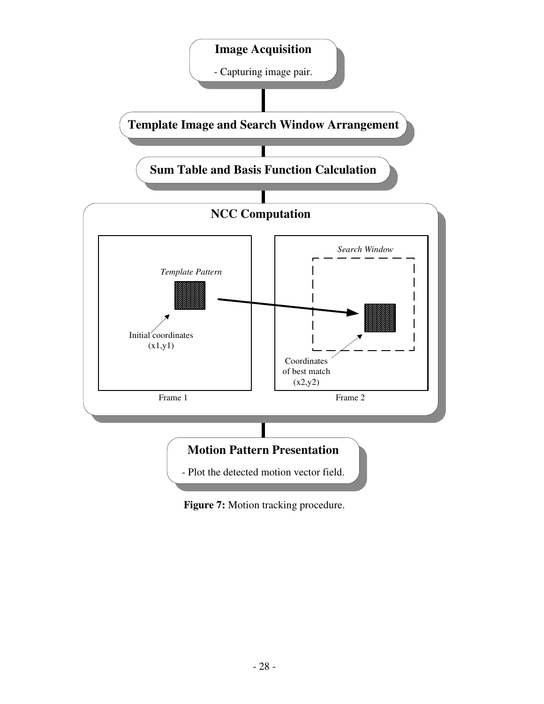

**Figure 7:** Motion tracking procedure.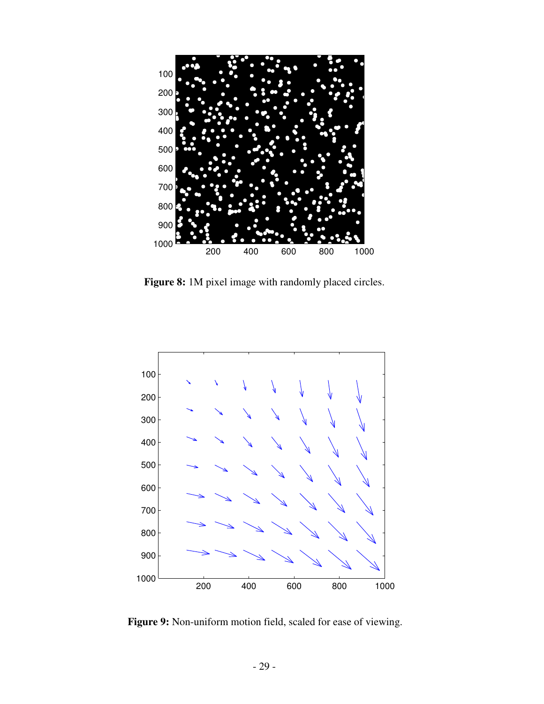

**Figure 8:** 1M pixel image with randomly placed circles.



**Figure 9:** Non-uniform motion field, scaled for ease of viewing.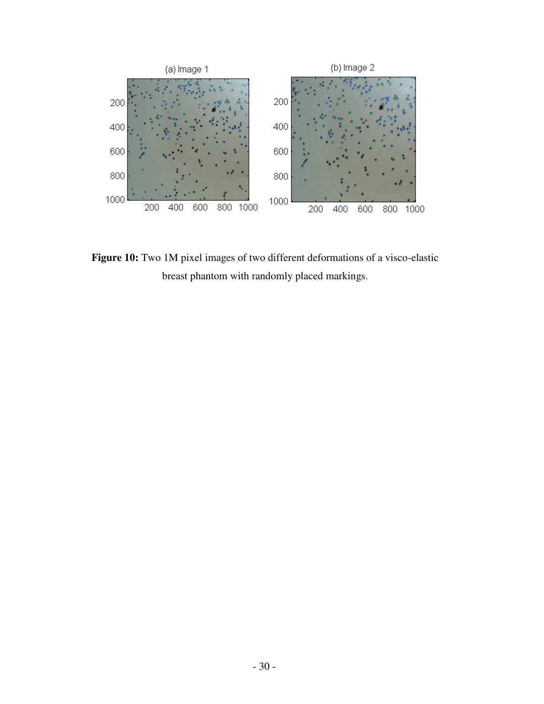

**Figure 10:** Two 1M pixel images of two different deformations of a visco-elastic breast phantom with randomly placed markings.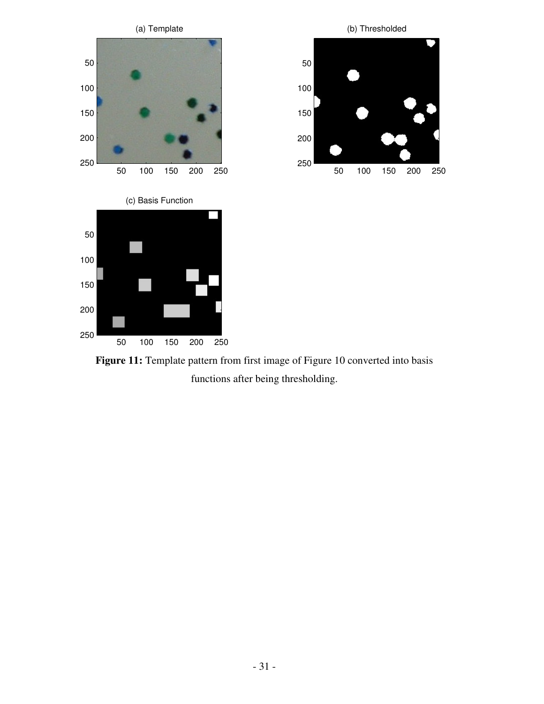

**Figure 11:** Template pattern from first image of Figure 10 converted into basis functions after being thresholding.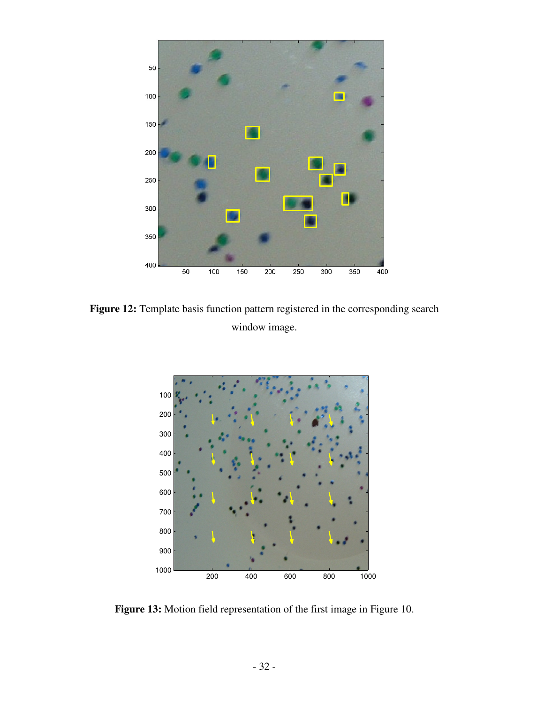

**Figure 12:** Template basis function pattern registered in the corresponding search window image.



**Figure 13:** Motion field representation of the first image in Figure 10.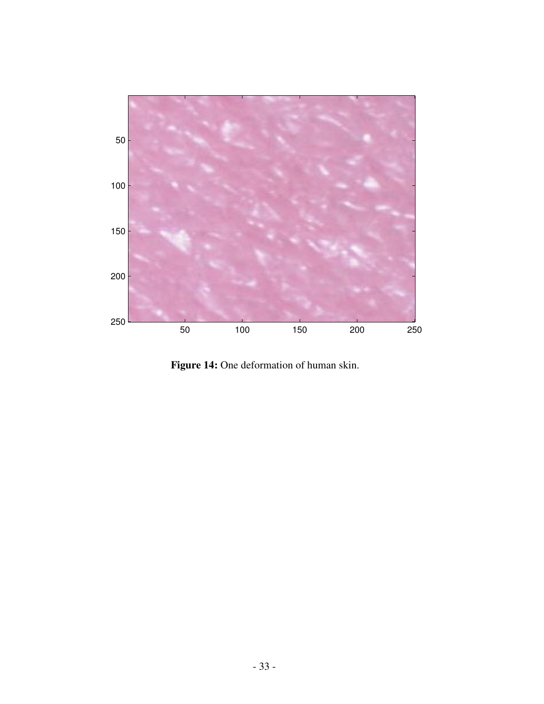

**Figure 14:** One deformation of human skin.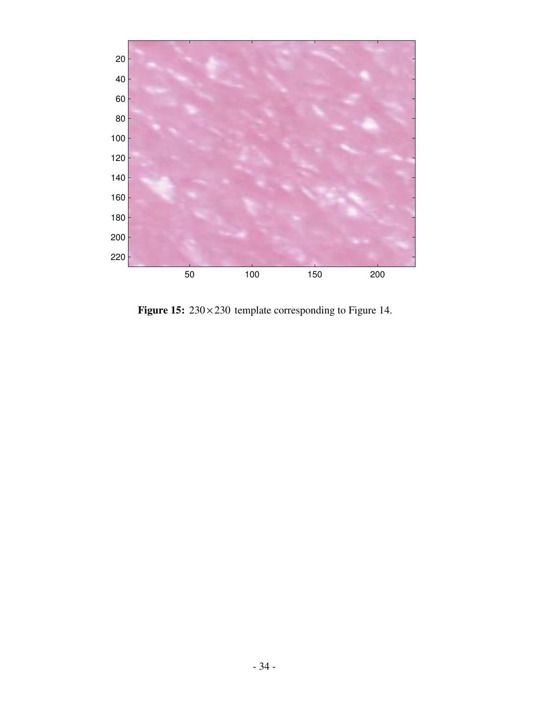

**Figure 15:** 230 × 230 template corresponding to Figure 14.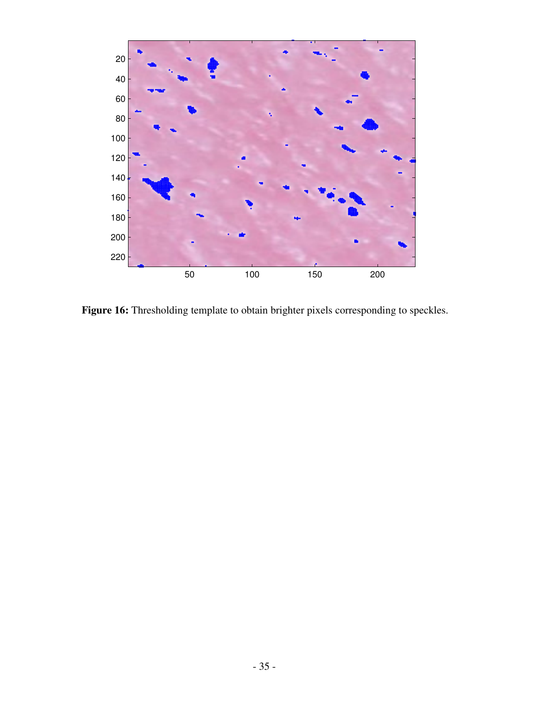

**Figure 16:** Thresholding template to obtain brighter pixels corresponding to speckles.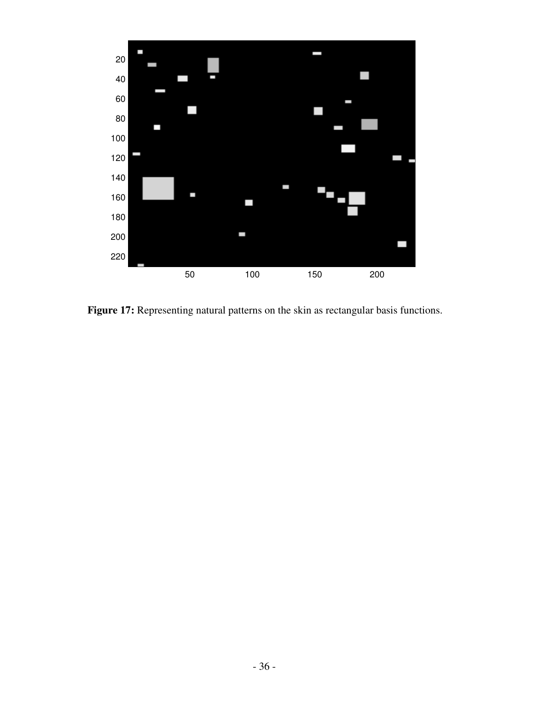

**Figure 17:** Representing natural patterns on the skin as rectangular basis functions.